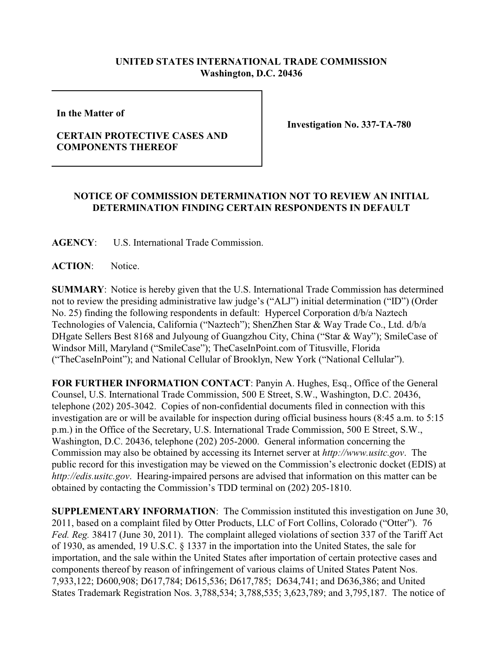## **UNITED STATES INTERNATIONAL TRADE COMMISSION Washington, D.C. 20436**

**In the Matter of** 

## **CERTAIN PROTECTIVE CASES AND COMPONENTS THEREOF**

**Investigation No. 337-TA-780**

## **NOTICE OF COMMISSION DETERMINATION NOT TO REVIEW AN INITIAL DETERMINATION FINDING CERTAIN RESPONDENTS IN DEFAULT**

**AGENCY**: U.S. International Trade Commission.

**ACTION**: Notice.

**SUMMARY**: Notice is hereby given that the U.S. International Trade Commission has determined not to review the presiding administrative law judge's ("ALJ") initial determination ("ID") (Order No. 25) finding the following respondents in default: Hypercel Corporation d/b/a Naztech Technologies of Valencia, California ("Naztech"); ShenZhen Star & Way Trade Co., Ltd. d/b/a DHgate Sellers Best 8168 and Julyoung of Guangzhou City, China ("Star & Way"); SmileCase of Windsor Mill, Maryland ("SmileCase"); TheCaseInPoint.com of Titusville, Florida ("TheCaseInPoint"); and National Cellular of Brooklyn, New York ("National Cellular").

**FOR FURTHER INFORMATION CONTACT**: Panyin A. Hughes, Esq., Office of the General Counsel, U.S. International Trade Commission, 500 E Street, S.W., Washington, D.C. 20436, telephone (202) 205-3042. Copies of non-confidential documents filed in connection with this investigation are or will be available for inspection during official business hours (8:45 a.m. to 5:15 p.m.) in the Office of the Secretary, U.S. International Trade Commission, 500 E Street, S.W., Washington, D.C. 20436, telephone (202) 205-2000. General information concerning the Commission may also be obtained by accessing its Internet server at *http://www.usitc.gov*. The public record for this investigation may be viewed on the Commission's electronic docket (EDIS) at *http://edis.usitc.gov*. Hearing-impaired persons are advised that information on this matter can be obtained by contacting the Commission's TDD terminal on (202) 205-1810.

**SUPPLEMENTARY INFORMATION**: The Commission instituted this investigation on June 30, 2011, based on a complaint filed by Otter Products, LLC of Fort Collins, Colorado ("Otter"). 76 *Fed. Reg.* 38417 (June 30, 2011). The complaint alleged violations of section 337 of the Tariff Act of 1930, as amended, 19 U.S.C. § 1337 in the importation into the United States, the sale for importation, and the sale within the United States after importation of certain protective cases and components thereof by reason of infringement of various claims of United States Patent Nos. 7,933,122; D600,908; D617,784; D615,536; D617,785; D634,741; and D636,386; and United States Trademark Registration Nos. 3,788,534; 3,788,535; 3,623,789; and 3,795,187. The notice of